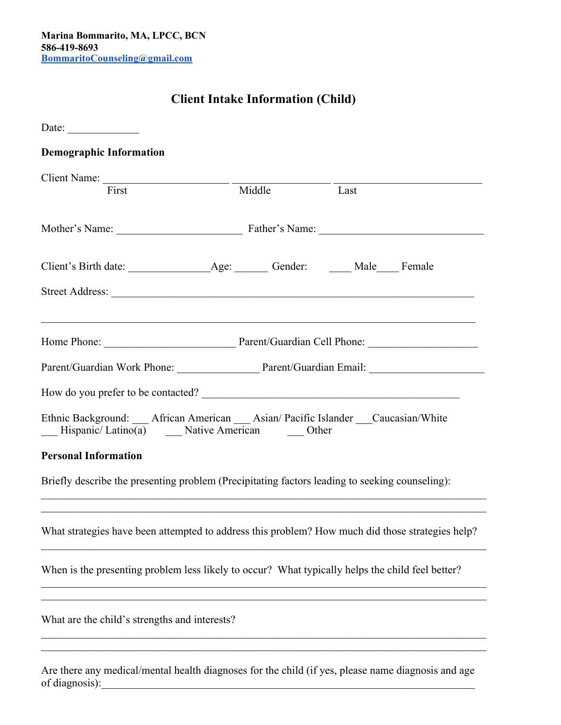## **Client Intake Information (Child)**

| Date: $\frac{1}{\sqrt{1-\frac{1}{2}} \cdot \frac{1}{2}}$                                                                                                                                                               |        |                                              |      |  |
|------------------------------------------------------------------------------------------------------------------------------------------------------------------------------------------------------------------------|--------|----------------------------------------------|------|--|
| <b>Demographic Information</b>                                                                                                                                                                                         |        |                                              |      |  |
|                                                                                                                                                                                                                        |        |                                              |      |  |
| First                                                                                                                                                                                                                  | Middle |                                              | Last |  |
|                                                                                                                                                                                                                        |        | Mother's Name: Father's Name: Father's Name: |      |  |
|                                                                                                                                                                                                                        |        |                                              |      |  |
|                                                                                                                                                                                                                        |        |                                              |      |  |
|                                                                                                                                                                                                                        |        |                                              |      |  |
| Parent/Guardian Work Phone: Parent/Guardian Email: 2008. [2010]                                                                                                                                                        |        |                                              |      |  |
| How do you prefer to be contacted?                                                                                                                                                                                     |        |                                              |      |  |
| Ethnic Background: __ African American __ Asian/ Pacific Islander __ Caucasian/White<br>Hispanic/Latino(a) _____ Native American ______ Other                                                                          |        |                                              |      |  |
| <b>Personal Information</b>                                                                                                                                                                                            |        |                                              |      |  |
| Briefly describe the presenting problem (Precipitating factors leading to seeking counseling):<br><u> 1999 - 1999 - 1999 - 1999 - 1999 - 1999 - 1999 - 1999 - 1999 - 1999 - 1999 - 1999 - 1999 - 1999 - 1999 - 199</u> |        |                                              |      |  |
| What strategies have been attempted to address this problem? How much did those strategies help?                                                                                                                       |        |                                              |      |  |
| When is the presenting problem less likely to occur? What typically helps the child feel better?                                                                                                                       |        |                                              |      |  |
| What are the child's strengths and interests?                                                                                                                                                                          |        |                                              |      |  |
| Are there any medical/mental health diagnoses for the child (if yes, please name diagnosis and age                                                                                                                     |        |                                              |      |  |

of diagnosis):\_\_\_\_\_\_\_\_\_\_\_\_\_\_\_\_\_\_\_\_\_\_\_\_\_\_\_\_\_\_\_\_\_\_\_\_\_\_\_\_\_\_\_\_\_\_\_\_\_\_\_\_\_\_\_\_\_\_\_\_\_\_\_\_\_\_\_\_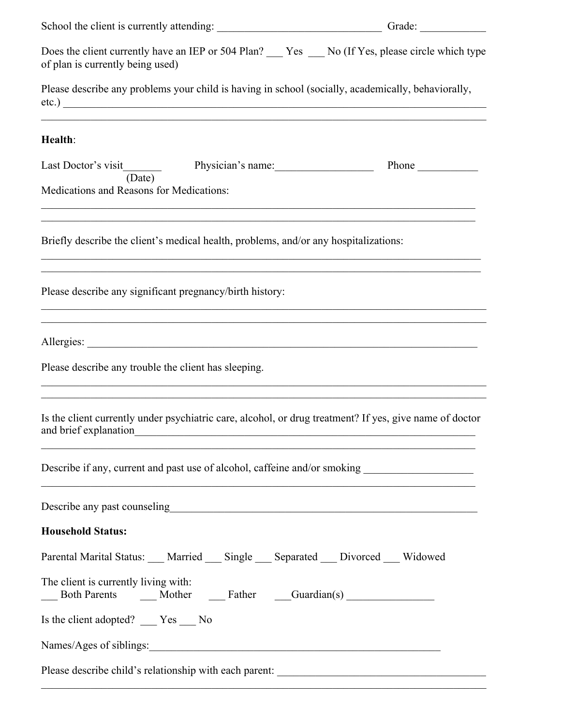|                                                                                                                                                                                                                          | Grade:         |  |  |  |  |
|--------------------------------------------------------------------------------------------------------------------------------------------------------------------------------------------------------------------------|----------------|--|--|--|--|
| Does the client currently have an IEP or 504 Plan? The Yes Theory No (If Yes, please circle which type<br>of plan is currently being used)                                                                               |                |  |  |  |  |
| Please describe any problems your child is having in school (socially, academically, behaviorally,<br>etc.)                                                                                                              |                |  |  |  |  |
| Health:                                                                                                                                                                                                                  |                |  |  |  |  |
| (Date)<br>Medications and Reasons for Medications:                                                                                                                                                                       | Phone $\qquad$ |  |  |  |  |
| Briefly describe the client's medical health, problems, and/or any hospitalizations:                                                                                                                                     |                |  |  |  |  |
| Please describe any significant pregnancy/birth history:                                                                                                                                                                 |                |  |  |  |  |
|                                                                                                                                                                                                                          |                |  |  |  |  |
| Please describe any trouble the client has sleeping.<br>,我们也不能在这里的时候,我们也不能在这里的时候,我们也不能不能不能不能不能不能不能不能不能不能不能不能不能不能。""我们的是我们的,我们也不能不能不能不能不能                                                                                 |                |  |  |  |  |
| a se provincia de la construcción de la construcción de la construcción de la construcción de la construcción<br>Is the client currently under psychiatric care, alcohol, or drug treatment? If yes, give name of doctor |                |  |  |  |  |
| Describe if any, current and past use of alcohol, caffeine and/or smoking _________________________<br><u> 1989 - Johann Stoff, amerikansk politiker (d. 1989)</u>                                                       |                |  |  |  |  |
|                                                                                                                                                                                                                          |                |  |  |  |  |
| <b>Household Status:</b>                                                                                                                                                                                                 |                |  |  |  |  |
| Parental Marital Status: ___ Married ___ Single ___ Separated ___ Divorced ___ Widowed                                                                                                                                   |                |  |  |  |  |
| The client is currently living with:<br>Both Parents Mother Father Guardian(s)                                                                                                                                           |                |  |  |  |  |
| Is the client adopted? ___ Yes __ No                                                                                                                                                                                     |                |  |  |  |  |
|                                                                                                                                                                                                                          |                |  |  |  |  |
|                                                                                                                                                                                                                          |                |  |  |  |  |